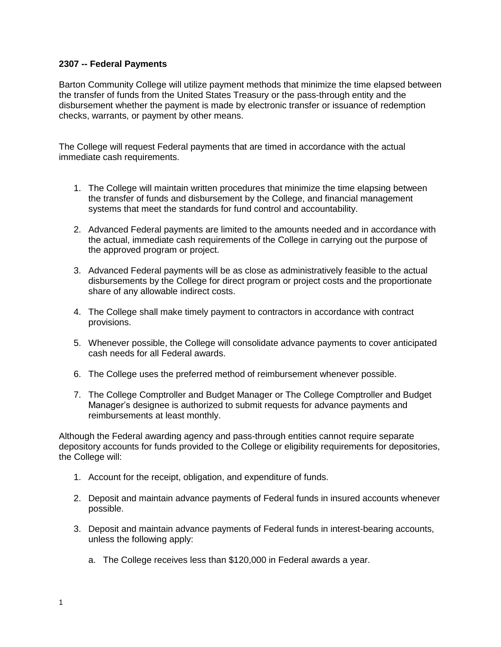## **2307 -- Federal Payments**

Barton Community College will utilize payment methods that minimize the time elapsed between the transfer of funds from the United States Treasury or the pass-through entity and the disbursement whether the payment is made by electronic transfer or issuance of redemption checks, warrants, or payment by other means.

The College will request Federal payments that are timed in accordance with the actual immediate cash requirements.

- 1. The College will maintain written procedures that minimize the time elapsing between the transfer of funds and disbursement by the College, and financial management systems that meet the standards for fund control and accountability.
- 2. Advanced Federal payments are limited to the amounts needed and in accordance with the actual, immediate cash requirements of the College in carrying out the purpose of the approved program or project.
- 3. Advanced Federal payments will be as close as administratively feasible to the actual disbursements by the College for direct program or project costs and the proportionate share of any allowable indirect costs.
- 4. The College shall make timely payment to contractors in accordance with contract provisions.
- 5. Whenever possible, the College will consolidate advance payments to cover anticipated cash needs for all Federal awards.
- 6. The College uses the preferred method of reimbursement whenever possible.
- 7. The College Comptroller and Budget Manager or The College Comptroller and Budget Manager's designee is authorized to submit requests for advance payments and reimbursements at least monthly.

Although the Federal awarding agency and pass-through entities cannot require separate depository accounts for funds provided to the College or eligibility requirements for depositories, the College will:

- 1. Account for the receipt, obligation, and expenditure of funds.
- 2. Deposit and maintain advance payments of Federal funds in insured accounts whenever possible.
- 3. Deposit and maintain advance payments of Federal funds in interest-bearing accounts, unless the following apply:
	- a. The College receives less than \$120,000 in Federal awards a year.